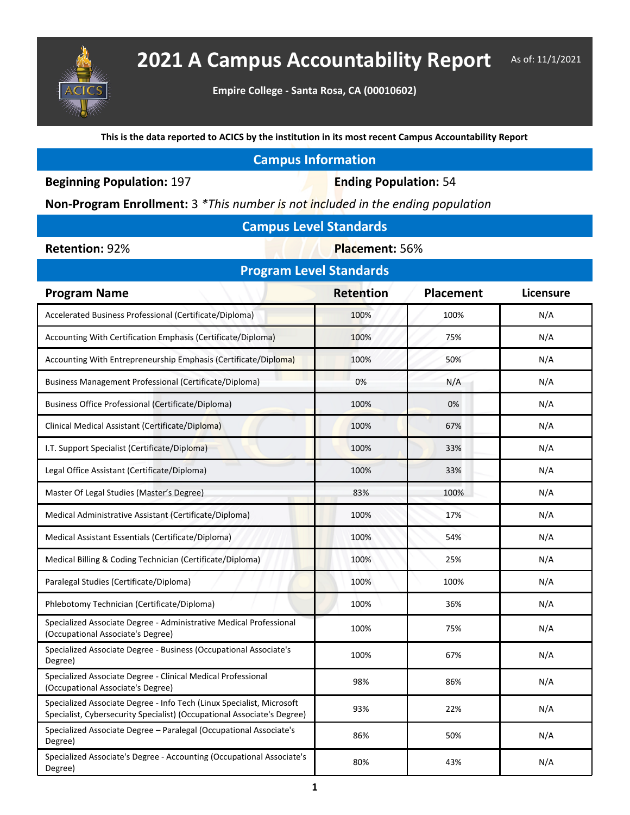

## **2021 A Campus Accountability Report** As of: 11/1/2021

**Empire College - Santa Rosa, CA (00010602)**

**This is the data reported to ACICS by the institution in its most recent Campus Accountability Report**

## **Campus Information**

**Beginning Population: 197 <b>Ending Population: 54** 

**Non-Program Enrollment:** 3 *\*This number is not included in the ending population*

| <b>Campus Level Standards</b> |  |
|-------------------------------|--|
|-------------------------------|--|

**Retention: 92% <b>Placement: 56%** 

| <b>Program Level Standards</b>                                                                                                                   |                  |                  |           |  |  |  |  |
|--------------------------------------------------------------------------------------------------------------------------------------------------|------------------|------------------|-----------|--|--|--|--|
| <b>Program Name</b>                                                                                                                              | <b>Retention</b> | <b>Placement</b> | Licensure |  |  |  |  |
| Accelerated Business Professional (Certificate/Diploma)                                                                                          | 100%             | 100%             | N/A       |  |  |  |  |
| Accounting With Certification Emphasis (Certificate/Diploma)                                                                                     | 100%             | 75%              | N/A       |  |  |  |  |
| Accounting With Entrepreneurship Emphasis (Certificate/Diploma)                                                                                  | 100%             | 50%              | N/A       |  |  |  |  |
| Business Management Professional (Certificate/Diploma)                                                                                           | 0%               | N/A              | N/A       |  |  |  |  |
| <b>Business Office Professional (Certificate/Diploma)</b>                                                                                        | 100%             | 0%               | N/A       |  |  |  |  |
| Clinical Medical Assistant (Certificate/Diploma)                                                                                                 | 100%             | 67%              | N/A       |  |  |  |  |
| I.T. Support Specialist (Certificate/Diploma)                                                                                                    | 100%             | 33%              | N/A       |  |  |  |  |
| Legal Office Assistant (Certificate/Diploma)                                                                                                     | 100%             | 33%              | N/A       |  |  |  |  |
| Master Of Legal Studies (Master's Degree)                                                                                                        | 83%              | 100%             | N/A       |  |  |  |  |
| Medical Administrative Assistant (Certificate/Diploma)                                                                                           | 100%             | 17%              | N/A       |  |  |  |  |
| Medical Assistant Essentials (Certificate/Diploma)                                                                                               | 100%             | 54%              | N/A       |  |  |  |  |
| Medical Billing & Coding Technician (Certificate/Diploma)                                                                                        | 100%             | 25%              | N/A       |  |  |  |  |
| Paralegal Studies (Certificate/Diploma)                                                                                                          | 100%             | 100%             | N/A       |  |  |  |  |
| Phlebotomy Technician (Certificate/Diploma)                                                                                                      | 100%             | 36%              | N/A       |  |  |  |  |
| Specialized Associate Degree - Administrative Medical Professional<br>(Occupational Associate's Degree)                                          | 100%             | 75%              | N/A       |  |  |  |  |
| Specialized Associate Degree - Business (Occupational Associate's<br>Degree)                                                                     | 100%             | 67%              | N/A       |  |  |  |  |
| Specialized Associate Degree - Clinical Medical Professional<br>(Occupational Associate's Degree)                                                | 98%              | 86%              | N/A       |  |  |  |  |
| Specialized Associate Degree - Info Tech (Linux Specialist, Microsoft<br>Specialist, Cybersecurity Specialist) (Occupational Associate's Degree) | 93%              | 22%              | N/A       |  |  |  |  |
| Specialized Associate Degree - Paralegal (Occupational Associate's<br>Degree)                                                                    | 86%              | 50%              | N/A       |  |  |  |  |
| Specialized Associate's Degree - Accounting (Occupational Associate's<br>Degree)                                                                 | 80%              | 43%              | N/A       |  |  |  |  |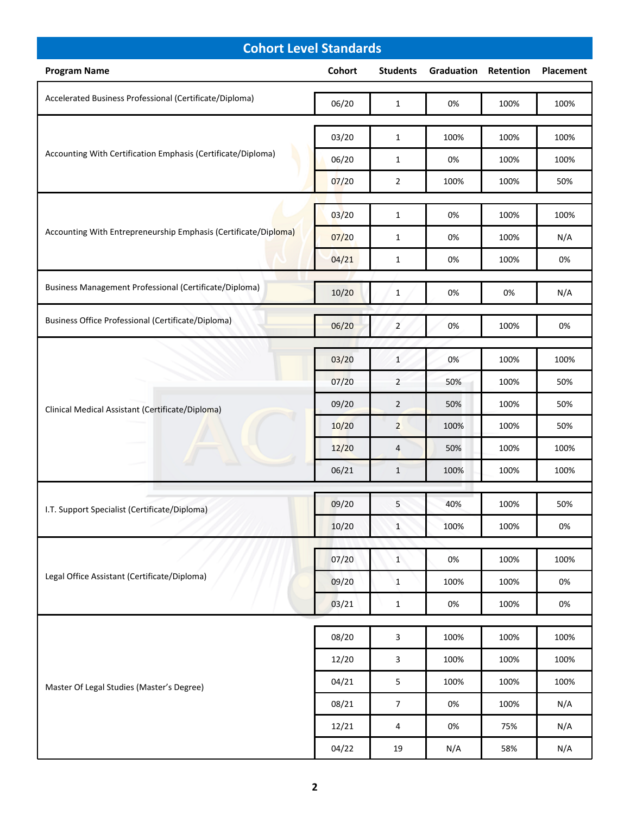| <b>Cohort Level Standards</b>                                   |                |                           |                             |              |              |  |
|-----------------------------------------------------------------|----------------|---------------------------|-----------------------------|--------------|--------------|--|
| <b>Program Name</b>                                             | Cohort         | <b>Students</b>           | <b>Graduation Retention</b> |              | Placement    |  |
| Accelerated Business Professional (Certificate/Diploma)         | 06/20          | $\mathbf{1}$              | 0%                          | 100%         | 100%         |  |
| Accounting With Certification Emphasis (Certificate/Diploma)    | 03/20          | $\mathbf{1}$              | 100%                        | 100%         | 100%         |  |
|                                                                 | 06/20          | $\mathbf{1}$              | 0%                          | 100%         | 100%         |  |
|                                                                 | 07/20          | $\overline{2}$            | 100%                        | 100%         | 50%          |  |
|                                                                 | 03/20          | $\mathbf{1}$              | 0%                          | 100%         | 100%         |  |
| Accounting With Entrepreneurship Emphasis (Certificate/Diploma) | 07/20          | $\mathbf{1}$              | 0%                          | 100%         | N/A          |  |
|                                                                 | 04/21          | $\mathbf{1}$              | 0%                          | 100%         | 0%           |  |
| Business Management Professional (Certificate/Diploma)          | 10/20          | $\mathbf{1}$              | 0%                          | 0%           | N/A          |  |
| <b>Business Office Professional (Certificate/Diploma)</b>       | 06/20          | $\overline{2}$            | 0%                          | 100%         | 0%           |  |
|                                                                 | 03/20          | $\mathbf{1}$              | 0%                          | 100%         | 100%         |  |
|                                                                 | 07/20          | $\overline{2}$            | 50%                         | 100%         | 50%          |  |
| Clinical Medical Assistant (Certificate/Diploma)                | 09/20          | $\overline{2}$            | 50%                         | 100%         | 50%          |  |
|                                                                 | 10/20          | $\overline{2}$            | 100%                        | 100%         | 50%          |  |
|                                                                 | 12/20          | 4                         | 50%                         | 100%         | 100%         |  |
|                                                                 | 06/21          | $\mathbf{1}$              | 100%                        | 100%         | 100%         |  |
| I.T. Support Specialist (Certificate/Diploma)                   | 09/20          | 5                         | 40%                         | 100%         | 50%          |  |
|                                                                 | 10/20          | $\mathbf{1}$              | 100%                        | 100%         | 0%           |  |
|                                                                 | 07/20          | $\mathbf{1}$              | 0%                          | 100%         | 100%         |  |
| Legal Office Assistant (Certificate/Diploma)                    | 09/20          | $\mathbf{1}$              | 100%                        | 100%         | 0%           |  |
|                                                                 | 03/21          | $\mathbf{1}$              | 0%                          | 100%         | 0%           |  |
|                                                                 |                |                           |                             |              |              |  |
| Master Of Legal Studies (Master's Degree)                       | 08/20          | $\mathbf{3}$              | 100%                        | 100%         | 100%         |  |
|                                                                 | 12/20<br>04/21 | $\mathsf 3$<br>$\sqrt{5}$ | 100%<br>100%                | 100%<br>100% | 100%<br>100% |  |
|                                                                 | 08/21          | $\overline{7}$            | 0%                          | 100%         | N/A          |  |
|                                                                 | 12/21          | 4                         | 0%                          | 75%          | N/A          |  |
|                                                                 | 04/22          | 19                        | N/A                         | 58%          | N/A          |  |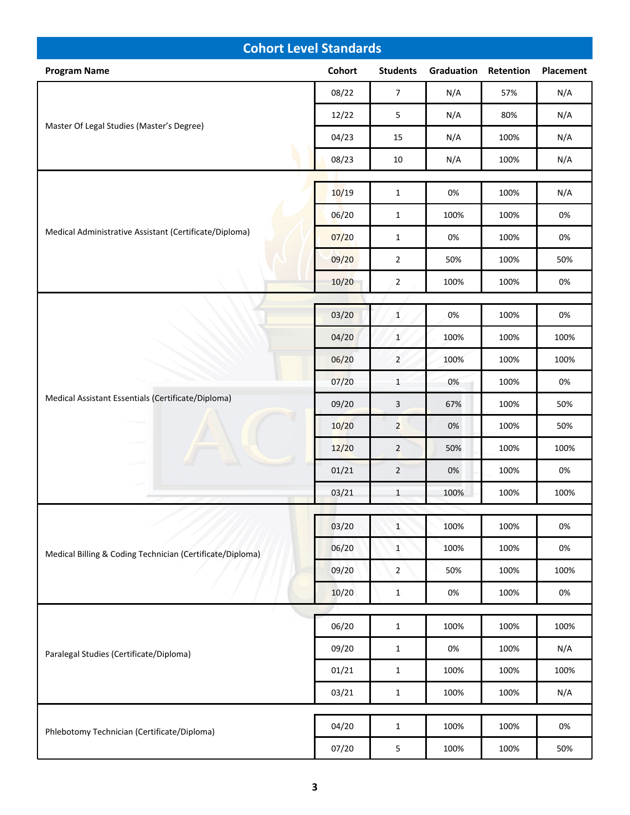| <b>Cohort Level Standards</b>                             |        |                 |            |           |           |  |
|-----------------------------------------------------------|--------|-----------------|------------|-----------|-----------|--|
| <b>Program Name</b>                                       | Cohort | <b>Students</b> | Graduation | Retention | Placement |  |
|                                                           | 08/22  | $\overline{7}$  | N/A        | 57%       | N/A       |  |
|                                                           | 12/22  | 5               | N/A        | 80%       | N/A       |  |
| Master Of Legal Studies (Master's Degree)                 | 04/23  | 15              | N/A        | 100%      | N/A       |  |
|                                                           | 08/23  | $10\,$          | N/A        | 100%      | N/A       |  |
|                                                           |        |                 |            |           |           |  |
|                                                           | 10/19  | $\mathbf 1$     | 0%         | 100%      | N/A       |  |
|                                                           | 06/20  | $\mathbf{1}$    | 100%       | 100%      | 0%        |  |
| Medical Administrative Assistant (Certificate/Diploma)    | 07/20  | $\mathbf{1}$    | 0%         | 100%      | 0%        |  |
|                                                           | 09/20  | $\overline{2}$  | 50%        | 100%      | 50%       |  |
|                                                           | 10/20  | $\overline{2}$  | 100%       | 100%      | 0%        |  |
|                                                           | 03/20  | $\mathbf{1}$    | 0%         | 100%      | $0\%$     |  |
|                                                           | 04/20  | $\mathbf{1}$    | 100%       | 100%      | 100%      |  |
|                                                           | 06/20  | $\overline{2}$  | 100%       | 100%      | 100%      |  |
|                                                           | 07/20  |                 | 0%         |           |           |  |
| Medical Assistant Essentials (Certificate/Diploma)        |        | $\mathbf{1}$    |            | 100%      | 0%        |  |
|                                                           | 09/20  | $\mathsf{3}$    | 67%        | 100%      | 50%       |  |
|                                                           | 10/20  | $\overline{2}$  | 0%         | 100%      | 50%       |  |
|                                                           | 12/20  | $\overline{2}$  | 50%        | 100%      | 100%      |  |
|                                                           | 01/21  | $\overline{2}$  | 0%         | 100%      | 0%        |  |
|                                                           | 03/21  | $\mathbf{1}$    | 100%       | 100%      | 100%      |  |
|                                                           | 03/20  | $\mathbf{1}$    | 100%       | 100%      | 0%        |  |
| Medical Billing & Coding Technician (Certificate/Diploma) | 06/20  | $\mathbf{1}$    | 100%       | 100%      | $0\%$     |  |
|                                                           | 09/20  | $\overline{2}$  | 50%        | 100%      | 100%      |  |
|                                                           | 10/20  | $1\,$           | 0%         | 100%      | 0%        |  |
|                                                           |        |                 |            |           |           |  |
|                                                           | 06/20  | $\mathbf{1}$    | 100%       | 100%      | 100%      |  |
| Paralegal Studies (Certificate/Diploma)                   | 09/20  | $\mathbf{1}$    | $0\%$      | 100%      | N/A       |  |
|                                                           | 01/21  | $\mathbf{1}$    | 100%       | 100%      | 100%      |  |
|                                                           | 03/21  | $\mathbf 1$     | 100%       | 100%      | N/A       |  |
|                                                           |        |                 |            |           |           |  |
| Phlebotomy Technician (Certificate/Diploma)               | 04/20  | $\mathbf{1}$    | 100%       | 100%      | 0%        |  |
|                                                           | 07/20  | $\overline{5}$  | 100%       | 100%      | 50%       |  |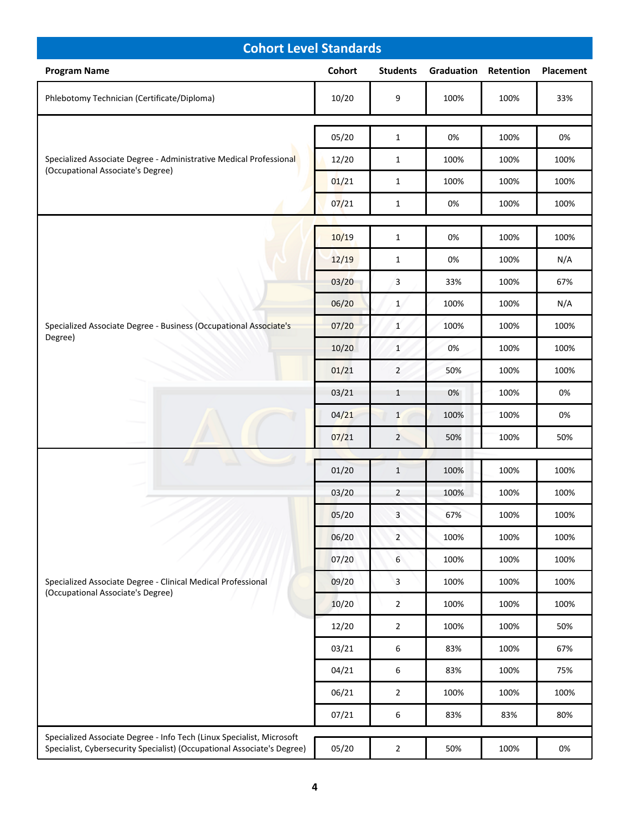| <b>Cohort Level Standards</b>                                                                                                                    |                |                              |            |           |             |  |
|--------------------------------------------------------------------------------------------------------------------------------------------------|----------------|------------------------------|------------|-----------|-------------|--|
| <b>Program Name</b>                                                                                                                              | Cohort         | <b>Students</b>              | Graduation | Retention | Placement   |  |
| Phlebotomy Technician (Certificate/Diploma)                                                                                                      | 10/20          | 9                            | 100%       | 100%      | 33%         |  |
| Specialized Associate Degree - Administrative Medical Professional<br>(Occupational Associate's Degree)                                          | 05/20          | $\mathbf{1}$                 | 0%         | 100%      | 0%          |  |
|                                                                                                                                                  | 12/20          | $\mathbf{1}$                 | 100%       | 100%      | 100%        |  |
|                                                                                                                                                  | 01/21          | $\mathbf{1}$                 | 100%       | 100%      | 100%        |  |
|                                                                                                                                                  | 07/21          | $\mathbf{1}$                 | 0%         | 100%      | 100%        |  |
|                                                                                                                                                  |                |                              |            | 100%      |             |  |
|                                                                                                                                                  | 10/19<br>12/19 | $\mathbf{1}$<br>$\mathbf{1}$ | 0%<br>0%   | 100%      | 100%<br>N/A |  |
|                                                                                                                                                  | 03/20          | 3                            | 33%        | 100%      | 67%         |  |
|                                                                                                                                                  | 06/20          | $\mathbf{1}$                 | 100%       | 100%      | N/A         |  |
| Specialized Associate Degree - Business (Occupational Associate's                                                                                | 07/20          | $\mathbf{1}$                 | 100%       | 100%      | 100%        |  |
| Degree)                                                                                                                                          | 10/20          | $\mathbf{1}$                 | 0%         | 100%      | 100%        |  |
|                                                                                                                                                  | 01/21          | $\overline{2}$               | 50%        | 100%      | 100%        |  |
|                                                                                                                                                  | 03/21          | $\mathbf{1}$                 | 0%         | 100%      | 0%          |  |
|                                                                                                                                                  | 04/21          | $\mathbf{1}$                 | 100%       | 100%      | 0%          |  |
|                                                                                                                                                  | 07/21          | $\overline{2}$               | 50%        | 100%      | 50%         |  |
|                                                                                                                                                  |                |                              |            |           |             |  |
|                                                                                                                                                  | 01/20          | $\mathbf{1}$                 | 100%       | 100%      | 100%        |  |
|                                                                                                                                                  | 03/20          | $\overline{2}$               | 100%       | 100%      | 100%        |  |
|                                                                                                                                                  | 05/20          | $\mathbf{3}$                 | 67%        | 100%      | 100%        |  |
|                                                                                                                                                  | 06/20          | $\overline{2}$               | 100%       | 100%      | 100%        |  |
|                                                                                                                                                  | 07/20          | $\boldsymbol{6}$             | 100%       | 100%      | 100%        |  |
| Specialized Associate Degree - Clinical Medical Professional<br>(Occupational Associate's Degree)                                                | 09/20          | 3                            | 100%       | 100%      | 100%        |  |
|                                                                                                                                                  | 10/20          | $\overline{2}$               | 100%       | 100%      | 100%        |  |
|                                                                                                                                                  | 12/20          | $\overline{2}$               | 100%       | 100%      | 50%         |  |
|                                                                                                                                                  | 03/21          | $\boldsymbol{6}$             | 83%        | 100%      | 67%         |  |
|                                                                                                                                                  | 04/21          | 6                            | 83%        | 100%      | 75%         |  |
|                                                                                                                                                  | 06/21          | $\overline{2}$               | 100%       | 100%      | 100%        |  |
|                                                                                                                                                  | 07/21          | 6                            | 83%        | 83%       | 80%         |  |
| Specialized Associate Degree - Info Tech (Linux Specialist, Microsoft<br>Specialist, Cybersecurity Specialist) (Occupational Associate's Degree) | 05/20          | $\mathbf 2$                  | 50%        | 100%      | 0%          |  |